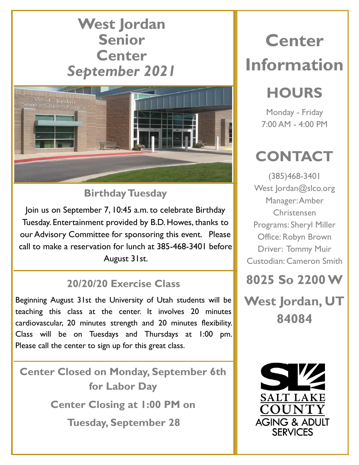### **West Jordan Senior Center** *September 2021*



### **Birthday Tuesday**

Join us on September 7, 10:45 a.m. to celebrate Birthday Tuesday. Entertainment provided by B.D. Howes, thanks to our Advisory Committee for sponsoring this event. Please call to make a reservation for lunch at 385-468-3401 before August 31st.

#### **20/20/20 Exercise Class**

Beginning August 31st the University of Utah students will be teaching this class at the center. It involves 20 minutes cardiovascular, 20 minutes strength and 20 minutes flexibility. Class will be on Tuesdays and Thursdays at 1:00 pm. Please call the center to sign up for this great class.

**Center Closed on Monday, September 6th for Labor Day Center Closing at 1:00 PM on Tuesday, September 28**

# **Center Information**

## **HOURS**

Monday - Friday 7:00 AM - 4:00 PM

## **CONTACT**

(385)468-3401 West Jordan@slco.org Manager: Amber Christensen Programs: Sheryl Miller Office: Robyn Brown Driver: Tommy Muir Custodian: Cameron Smith



**West Jordan, UT 84084**